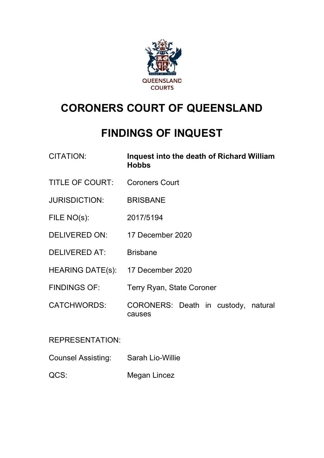

# **CORONERS COURT OF QUEENSLAND**

# **FINDINGS OF INQUEST**

| <b>CITATION:</b>                  | Inquest into the death of Richard William<br><b>Hobbs</b> |
|-----------------------------------|-----------------------------------------------------------|
| <b>TITLE OF COURT:</b>            | <b>Coroners Court</b>                                     |
| <b>JURISDICTION:</b>              | <b>BRISBANE</b>                                           |
| FILE NO(s):                       | 2017/5194                                                 |
| DELIVERED ON:                     | 17 December 2020                                          |
| <b>DELIVERED AT:</b>              | <b>Brisbane</b>                                           |
| HEARING DATE(s): 17 December 2020 |                                                           |
| <b>FINDINGS OF:</b>               | <b>Terry Ryan, State Coroner</b>                          |
| <b>CATCHWORDS:</b>                | CORONERS: Death in custody, natural<br>causes             |
| <b>REPRESENTATION:</b>            |                                                           |

Counsel Assisting: Sarah Lio-Willie

QCS: Megan Lincez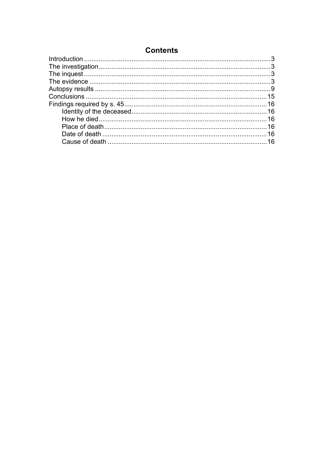| <b>Contents</b> |  |
|-----------------|--|
|-----------------|--|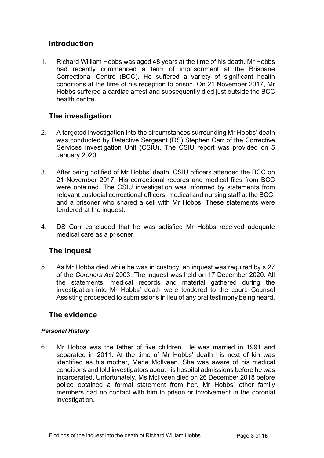# <span id="page-2-0"></span>**Introduction**

1. Richard William Hobbs was aged 48 years at the time of his death. Mr Hobbs had recently commenced a term of imprisonment at the Brisbane Correctional Centre (BCC). He suffered a variety of significant health conditions at the time of his reception to prison. On 21 November 2017, Mr Hobbs suffered a cardiac arrest and subsequently died just outside the BCC health centre.

# <span id="page-2-1"></span>**The investigation**

- 2. A targeted investigation into the circumstances surrounding Mr Hobbs' death was conducted by Detective Sergeant (DS) Stephen Carr of the Corrective Services Investigation Unit (CSIU). The CSIU report was provided on 5 January 2020.
- 3. After being notified of Mr Hobbs' death, CSIU officers attended the BCC on 21 November 2017. His correctional records and medical files from BCC were obtained. The CSIU investigation was informed by statements from relevant custodial correctional officers, medical and nursing staff at the BCC, and a prisoner who shared a cell with Mr Hobbs. These statements were tendered at the inquest.
- 4. DS Carr concluded that he was satisfied Mr Hobbs received adequate medical care as a prisoner.

# <span id="page-2-2"></span>**The inquest**

5. As Mr Hobbs died while he was in custody, an inquest was required by s 27 of the *Coroners Act* 2003. The inquest was held on 17 December 2020. All the statements, medical records and material gathered during the investigation into Mr Hobbs' death were tendered to the court. Counsel Assisting proceeded to submissions in lieu of any oral testimony being heard.

# <span id="page-2-3"></span>**The evidence**

#### *Personal History*

6. Mr Hobbs was the father of five children. He was married in 1991 and separated in 2011. At the time of Mr Hobbs' death his next of kin was identified as his mother, Merle McIlveen. She was aware of his medical conditions and told investigators about his hospital admissions before he was incarcerated. Unfortunately, Ms McIlveen died on 26 December 2018 before police obtained a formal statement from her. Mr Hobbs' other family members had no contact with him in prison or involvement in the coronial investigation.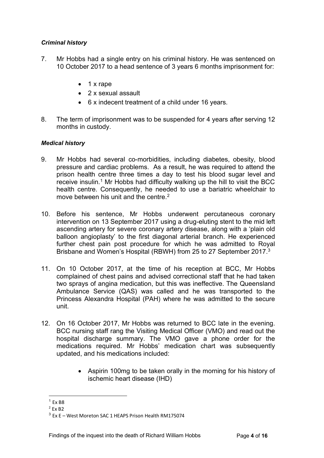#### *Criminal history*

- 7. Mr Hobbs had a single entry on his criminal history. He was sentenced on 10 October 2017 to a head sentence of 3 years 6 months imprisonment for:
	- 1 x rape
	- 2 x sexual assault
	- 6 x indecent treatment of a child under 16 years.
- 8. The term of imprisonment was to be suspended for 4 years after serving 12 months in custody.

#### *Medical history*

- 9. Mr Hobbs had several co-morbidities, including diabetes, obesity, blood pressure and cardiac problems. As a result, he was required to attend the prison health centre three times a day to test his blood sugar level and receive insulin.<sup>1</sup> Mr Hobbs had difficulty walking up the hill to visit the BCC health centre. Consequently, he needed to use a bariatric wheelchair to move between his unit and the centre.<sup>[2](#page-3-1)</sup>
- 10. Before his sentence, Mr Hobbs underwent percutaneous coronary intervention on 13 September 2017 using a drug-eluting stent to the mid left ascending artery for severe coronary artery disease, along with a 'plain old balloon angioplasty' to the first diagonal arterial branch. He experienced further chest pain post procedure for which he was admitted to Royal Brisbane and Women's Hospital (RBWH) from 25 to 27 September 2017[.3](#page-3-2)
- 11. On 10 October 2017, at the time of his reception at BCC, Mr Hobbs complained of chest pains and advised correctional staff that he had taken two sprays of angina medication, but this was ineffective. The Queensland Ambulance Service (QAS) was called and he was transported to the Princess Alexandra Hospital (PAH) where he was admitted to the secure unit.
- 12. On 16 October 2017, Mr Hobbs was returned to BCC late in the evening. BCC nursing staff rang the Visiting Medical Officer (VMO) and read out the hospital discharge summary. The VMO gave a phone order for the medications required. Mr Hobbs' medication chart was subsequently updated, and his medications included:
	- Aspirin 100mg to be taken orally in the morning for his history of ischemic heart disease (IHD)

<span id="page-3-0"></span> $1$  Fx B<sub>8</sub>

<span id="page-3-1"></span> $2$  Fx B<sub>2</sub>

<span id="page-3-2"></span> $3$  Fx F – West Moreton SAC 1 HEAPS Prison Health RM175074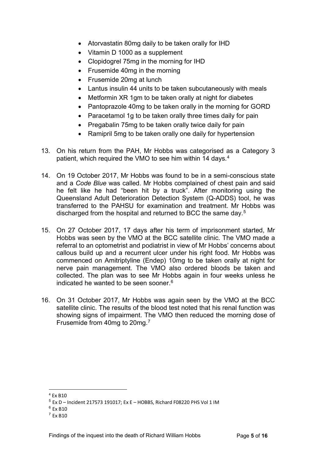- Atorvastatin 80mg daily to be taken orally for IHD
- Vitamin D 1000 as a supplement
- Clopidogrel 75mg in the morning for IHD
- Frusemide 40mg in the morning
- Frusemide 20mg at lunch
- Lantus insulin 44 units to be taken subcutaneously with meals
- Metformin XR 1gm to be taken orally at night for diabetes
- Pantoprazole 40mg to be taken orally in the morning for GORD
- Paracetamol 1g to be taken orally three times daily for pain
- Pregabalin 75mg to be taken orally twice daily for pain
- Ramipril 5mg to be taken orally one daily for hypertension
- 13. On his return from the PAH, Mr Hobbs was categorised as a Category 3 patient, which required the VMO to see him within 14 days.[4](#page-4-0)
- 14. On 19 October 2017, Mr Hobbs was found to be in a semi-conscious state and a *Code Blue* was called. Mr Hobbs complained of chest pain and said he felt like he had "been hit by a truck". After monitoring using the Queensland Adult Deterioration Detection System (Q-ADDS) tool, he was transferred to the PAHSU for examination and treatment. Mr Hobbs was discharged from the hospital and returned to BCC the same day. [5](#page-4-1)
- 15. On 27 October 2017, 17 days after his term of imprisonment started, Mr Hobbs was seen by the VMO at the BCC satellite clinic. The VMO made a referral to an optometrist and podiatrist in view of Mr Hobbs' concerns about callous build up and a recurrent ulcer under his right food. Mr Hobbs was commenced on Amitriptyline (Endep) 10mg to be taken orally at night for nerve pain management. The VMO also ordered bloods be taken and collected. The plan was to see Mr Hobbs again in four weeks unless he indicated he wanted to be seen sooner. $6$
- 16. On 31 October 2017, Mr Hobbs was again seen by the VMO at the BCC satellite clinic. The results of the blood test noted that his renal function was showing signs of impairment. The VMO then reduced the morning dose of Frusemide from 40mg to 20mg.<sup>[7](#page-4-3)</sup>

<span id="page-4-0"></span> $4$  Fx B<sub>10</sub>

<span id="page-4-1"></span> $5$  Ex D – Incident 217573 191017; Ex E – HOBBS, Richard F08220 PHS Vol 1 IM

<span id="page-4-2"></span><sup>6</sup> Ex B10

<span id="page-4-3"></span> $7$  Fx B<sub>10</sub>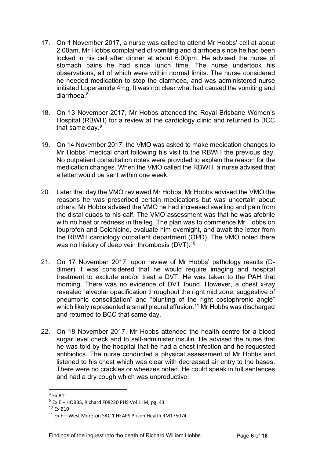- 17. On 1 November 2017, a nurse was called to attend Mr Hobbs' cell at about 2:00am. Mr Hobbs complained of vomiting and diarrhoea since he had been locked in his cell after dinner at about 6:00pm. He advised the nurse of stomach pains he had since lunch time. The nurse undertook his observations, all of which were within normal limits. The nurse considered he needed medication to stop the diarrhoea, and was administered nurse initiated Loperamide 4mg. It was not clear what had caused the vomiting and diarrhoea. [8](#page-5-0)
- 18. On 13 November 2017, Mr Hobbs attended the Royal Brisbane Women's Hospital (RBWH) for a review at the cardiology clinic and returned to BCC that same day.<sup>[9](#page-5-1)</sup>
- 19. On 14 November 2017, the VMO was asked to make medication changes to Mr Hobbs' medical chart following his visit to the RBWH the previous day. No outpatient consultation notes were provided to explain the reason for the medication changes. When the VMO called the RBWH, a nurse advised that a letter would be sent within one week.
- 20. Later that day the VMO reviewed Mr Hobbs. Mr Hobbs advised the VMO the reasons he was prescribed certain medications but was uncertain about others. Mr Hobbs advised the VMO he had increased swelling and pain from the distal quads to his calf. The VMO assessment was that he was afebrile with no heat or redness in the leg. The plan was to commence Mr Hobbs on Ibuprofen and Colchicine, evaluate him overnight, and await the letter from the RBWH cardiology outpatient department (OPD). The VMO noted there was no history of deep vein thrombosis (DVT).<sup>[10](#page-5-2)</sup>
- 21. On 17 November 2017, upon review of Mr Hobbs' pathology results (Ddimer) it was considered that he would require imaging and hospital treatment to exclude and/or treat a DVT. He was taken to the PAH that morning. There was no evidence of DVT found. However, a chest x-ray revealed "alveolar opacification throughout the right mid zone, suggestive of pneumonic consolidation" and "blunting of the right costophrenic angle" which likely represented a small pleural effusion.<sup>[11](#page-5-3)</sup> Mr Hobbs was discharged and returned to BCC that same day.
- 22. On 18 November 2017, Mr Hobbs attended the health centre for a blood sugar level check and to self-administer insulin. He advised the nurse that he was told by the hospital that he had a chest infection and he requested antibiotics. The nurse conducted a physical assessment of Mr Hobbs and listened to his chest which was clear with decreased air entry to the bases. There were no crackles or wheezes noted. He could speak in full sentences and had a dry cough which was unproductive.

<span id="page-5-0"></span> $8$  Fx B11

<span id="page-5-1"></span> $9$  Ex E – HOBBS, Richard F08220 PHS Vol 1 IM, pg. 43

<span id="page-5-2"></span><sup>10</sup> Ex B10

<span id="page-5-3"></span><sup>11</sup> Ex E – West Moreton SAC 1 HEAPS Prison Health RM175074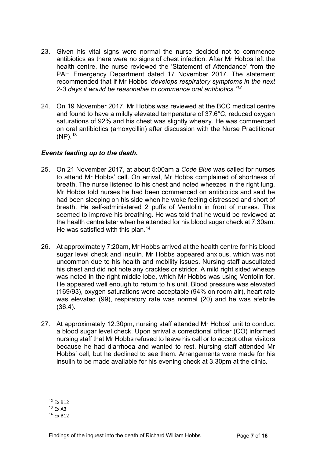- 23. Given his vital signs were normal the nurse decided not to commence antibiotics as there were no signs of chest infection. After Mr Hobbs left the health centre, the nurse reviewed the 'Statement of Attendance' from the PAH Emergency Department dated 17 November 2017. The statement recommended that if Mr Hobbs *'develops respiratory symptoms in the next 2-3 days it would be reasonable to commence oral antibiotics.'[12](#page-6-0)*
- 24. On 19 November 2017, Mr Hobbs was reviewed at the BCC medical centre and found to have a mildly elevated temperature of 37.6°C, reduced oxygen saturations of 92% and his chest was slightly wheezy. He was commenced on oral antibiotics (amoxycillin) after discussion with the Nurse Practitioner (NP). [13](#page-6-1)

#### *Events leading up to the death.*

- 25. On 21 November 2017, at about 5:00am a *Code Blue* was called for nurses to attend Mr Hobbs' cell. On arrival, Mr Hobbs complained of shortness of breath. The nurse listened to his chest and noted wheezes in the right lung. Mr Hobbs told nurses he had been commenced on antibiotics and said he had been sleeping on his side when he woke feeling distressed and short of breath. He self-administered 2 puffs of Ventolin in front of nurses. This seemed to improve his breathing. He was told that he would be reviewed at the health centre later when he attended for his blood sugar check at 7:30am. He was satisfied with this plan.<sup>[14](#page-6-2)</sup>
- 26. At approximately 7:20am, Mr Hobbs arrived at the health centre for his blood sugar level check and insulin. Mr Hobbs appeared anxious, which was not uncommon due to his health and mobility issues. Nursing staff auscultated his chest and did not note any crackles or stridor. A mild right sided wheeze was noted in the right middle lobe, which Mr Hobbs was using Ventolin for. He appeared well enough to return to his unit. Blood pressure was elevated (169/93), oxygen saturations were acceptable (94% on room air), heart rate was elevated (99), respiratory rate was normal (20) and he was afebrile (36.4).
- 27. At approximately 12.30pm, nursing staff attended Mr Hobbs' unit to conduct a blood sugar level check. Upon arrival a correctional officer (CO) informed nursing staff that Mr Hobbs refused to leave his cell or to accept other visitors because he had diarrhoea and wanted to rest. Nursing staff attended Mr Hobbs' cell, but he declined to see them. Arrangements were made for his insulin to be made available for his evening check at 3.30pm at the clinic.

<span id="page-6-0"></span><sup>12</sup> Ex B12

<span id="page-6-1"></span><sup>13</sup> Ex A3

<span id="page-6-2"></span><sup>14</sup> Ex B12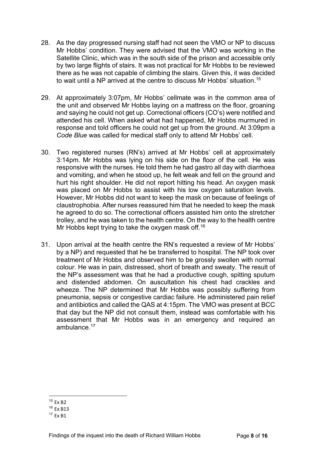- 28. As the day progressed nursing staff had not seen the VMO or NP to discuss Mr Hobbs' condition. They were advised that the VMO was working in the Satellite Clinic, which was in the south side of the prison and accessible only by two large flights of stairs. It was not practical for Mr Hobbs to be reviewed there as he was not capable of climbing the stairs. Given this, it was decided to wait until a NP arrived at the centre to discuss Mr Hobbs' situation.[15](#page-7-0)
- 29. At approximately 3:07pm, Mr Hobbs' cellmate was in the common area of the unit and observed Mr Hobbs laying on a mattress on the floor, groaning and saying he could not get up. Correctional officers (CO's) were notified and attended his cell. When asked what had happened, Mr Hobbs murmured in response and told officers he could not get up from the ground. At 3:09pm a *Code Blue* was called for medical staff only to attend Mr Hobbs' cell.
- 30. Two registered nurses (RN's) arrived at Mr Hobbs' cell at approximately 3:14pm. Mr Hobbs was lying on his side on the floor of the cell. He was responsive with the nurses. He told them he had gastro all day with diarrhoea and vomiting, and when he stood up, he felt weak and fell on the ground and hurt his right shoulder. He did not report hitting his head. An oxygen mask was placed on Mr Hobbs to assist with his low oxygen saturation levels. However, Mr Hobbs did not want to keep the mask on because of feelings of claustrophobia. After nurses reassured him that he needed to keep the mask he agreed to do so. The correctional officers assisted him onto the stretcher trolley, and he was taken to the health centre. On the way to the health centre Mr Hobbs kept trying to take the oxygen mask off.<sup>16</sup>
- 31. Upon arrival at the health centre the RN's requested a review of Mr Hobbs' by a NP) and requested that he be transferred to hospital. The NP took over treatment of Mr Hobbs and observed him to be grossly swollen with normal colour. He was in pain, distressed, short of breath and sweaty. The result of the NP's assessment was that he had a productive cough, spitting sputum and distended abdomen. On auscultation his chest had crackles and wheeze. The NP determined that Mr Hobbs was possibly suffering from pneumonia, sepsis or congestive cardiac failure. He administered pain relief and antibiotics and called the QAS at 4:15pm. The VMO was present at BCC that day but the NP did not consult them, instead was comfortable with his assessment that Mr Hobbs was in an emergency and required an ambulance. $17$

<span id="page-7-0"></span><sup>15</sup> Ex B2

<span id="page-7-1"></span><sup>16</sup> Ex B13

<span id="page-7-2"></span> $17$  Fx B1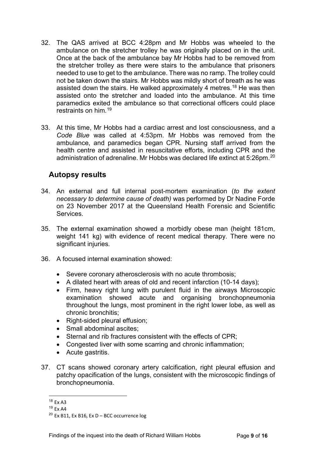- 32. The QAS arrived at BCC 4:28pm and Mr Hobbs was wheeled to the ambulance on the stretcher trolley he was originally placed on in the unit. Once at the back of the ambulance bay Mr Hobbs had to be removed from the stretcher trolley as there were stairs to the ambulance that prisoners needed to use to get to the ambulance. There was no ramp. The trolley could not be taken down the stairs. Mr Hobbs was mildly short of breath as he was assisted down the stairs. He walked approximately 4 metres.<sup>18</sup> He was then assisted onto the stretcher and loaded into the ambulance. At this time paramedics exited the ambulance so that correctional officers could place restraints on him.[19](#page-8-2)
- 33. At this time, Mr Hobbs had a cardiac arrest and lost consciousness, and a *Code Blue* was called at 4:53pm. Mr Hobbs was removed from the ambulance, and paramedics began CPR. Nursing staff arrived from the health centre and assisted in resuscitative efforts, including CPR and the administration of adrenaline. Mr Hobbs was declared life extinct at 5:26pm.<sup>[20](#page-8-3)</sup>

## <span id="page-8-0"></span>**Autopsy results**

- 34. An external and full internal post-mortem examination (*to the extent necessary to determine cause of death)* was performed by Dr Nadine Forde on 23 November 2017 at the Queensland Health Forensic and Scientific **Services**
- 35. The external examination showed a morbidly obese man (height 181cm, weight 141 kg) with evidence of recent medical therapy. There were no significant injuries.
- 36. A focused internal examination showed:
	- Severe coronary atherosclerosis with no acute thrombosis;
	- A dilated heart with areas of old and recent infarction (10-14 days);
	- Firm, heavy right lung with purulent fluid in the airways Microscopic examination showed acute and organising bronchopneumonia throughout the lungs, most prominent in the right lower lobe, as well as chronic bronchitis;
	- Right-sided pleural effusion;
	- Small abdominal ascites:
	- Sternal and rib fractures consistent with the effects of CPR;
	- Congested liver with some scarring and chronic inflammation;
	- Acute gastritis.
- 37. CT scans showed coronary artery calcification, right pleural effusion and patchy opacification of the lungs, consistent with the microscopic findings of bronchopneumonia.

<span id="page-8-1"></span><sup>18</sup> Ex A3

<sup>19</sup> Ex A4

<span id="page-8-3"></span><span id="page-8-2"></span> $20$  Ex B11, Ex B16, Ex D – BCC occurrence log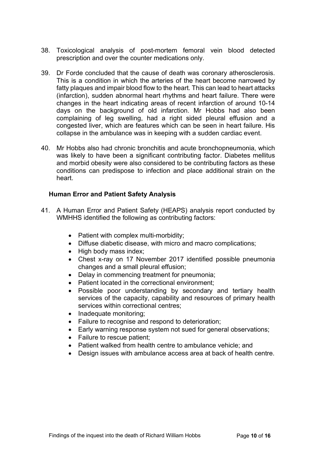- 38. Toxicological analysis of post-mortem femoral vein blood detected prescription and over the counter medications only.
- 39. Dr Forde concluded that the cause of death was coronary atherosclerosis. This is a condition in which the arteries of the heart become narrowed by fatty plaques and impair blood flow to the heart. This can lead to heart attacks (infarction), sudden abnormal heart rhythms and heart failure. There were changes in the heart indicating areas of recent infarction of around 10-14 days on the background of old infarction. Mr Hobbs had also been complaining of leg swelling, had a right sided pleural effusion and a congested liver, which are features which can be seen in heart failure. His collapse in the ambulance was in keeping with a sudden cardiac event.
- 40. Mr Hobbs also had chronic bronchitis and acute bronchopneumonia, which was likely to have been a significant contributing factor. Diabetes mellitus and morbid obesity were also considered to be contributing factors as these conditions can predispose to infection and place additional strain on the heart.

#### **Human Error and Patient Safety Analysis**

- 41. A Human Error and Patient Safety (HEAPS) analysis report conducted by WMHHS identified the following as contributing factors:
	- Patient with complex multi-morbidity;
	- Diffuse diabetic disease, with micro and macro complications;
	- High body mass index;
	- Chest x-ray on 17 November 2017 identified possible pneumonia changes and a small pleural effusion;
	- Delay in commencing treatment for pneumonia;
	- Patient located in the correctional environment;
	- Possible poor understanding by secondary and tertiary health services of the capacity, capability and resources of primary health services within correctional centres;
	- Inadequate monitoring;
	- Failure to recognise and respond to deterioration;
	- Early warning response system not sued for general observations;
	- Failure to rescue patient:
	- Patient walked from health centre to ambulance vehicle; and
	- Design issues with ambulance access area at back of health centre.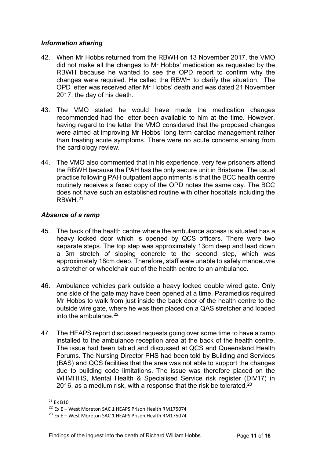#### *Information sharing*

- 42. When Mr Hobbs returned from the RBWH on 13 November 2017, the VMO did not make all the changes to Mr Hobbs' medication as requested by the RBWH because he wanted to see the OPD report to confirm why the changes were required. He called the RBWH to clarify the situation. The OPD letter was received after Mr Hobbs' death and was dated 21 November 2017, the day of his death.
- 43. The VMO stated he would have made the medication changes recommended had the letter been available to him at the time. However, having regard to the letter the VMO considered that the proposed changes were aimed at improving Mr Hobbs' long term cardiac management rather than treating acute symptoms. There were no acute concerns arising from the cardiology review.
- 44. The VMO also commented that in his experience, very few prisoners attend the RBWH because the PAH has the only secure unit in Brisbane. The usual practice following PAH outpatient appointments is that the BCC health centre routinely receives a faxed copy of the OPD notes the same day. The BCC does not have such an established routine with other hospitals including the RBWH <sup>[21](#page-10-0)</sup>

#### *Absence of a ramp*

- 45. The back of the health centre where the ambulance access is situated has a heavy locked door which is opened by QCS officers. There were two separate steps. The top step was approximately 13cm deep and lead down a 3m stretch of sloping concrete to the second step, which was approximately 18cm deep. Therefore, staff were unable to safely manoeuvre a stretcher or wheelchair out of the health centre to an ambulance.
- 46. Ambulance vehicles park outside a heavy locked double wired gate. Only one side of the gate may have been opened at a time. Paramedics required Mr Hobbs to walk from just inside the back door of the health centre to the outside wire gate, where he was then placed on a QAS stretcher and loaded into the ambulance  $22$
- 47. The HEAPS report discussed requests going over some time to have a ramp installed to the ambulance reception area at the back of the health centre. The issue had been tabled and discussed at QCS and Queensland Health Forums. The Nursing Director PHS had been told by Building and Services (BAS) and QCS facilities that the area was not able to support the changes due to building code limitations. The issue was therefore placed on the WHMHHS, Mental Health & Specialised Service risk register (DIV17) in 2016, as a medium risk, with a response that the risk be tolerated. $^{23}$  $^{23}$  $^{23}$

<span id="page-10-0"></span> $21$  Fx B<sub>10</sub>

<span id="page-10-1"></span><sup>22</sup> Ex E – West Moreton SAC 1 HEAPS Prison Health RM175074

<span id="page-10-2"></span><sup>23</sup> Ex E – West Moreton SAC 1 HEAPS Prison Health RM175074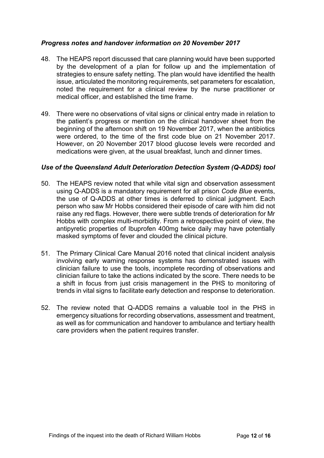#### *Progress notes and handover information on 20 November 2017*

- 48. The HEAPS report discussed that care planning would have been supported by the development of a plan for follow up and the implementation of strategies to ensure safety netting. The plan would have identified the health issue, articulated the monitoring requirements, set parameters for escalation, noted the requirement for a clinical review by the nurse practitioner or medical officer, and established the time frame.
- 49. There were no observations of vital signs or clinical entry made in relation to the patient's progress or mention on the clinical handover sheet from the beginning of the afternoon shift on 19 November 2017, when the antibiotics were ordered, to the time of the first code blue on 21 November 2017. However, on 20 November 2017 blood glucose levels were recorded and medications were given, at the usual breakfast, lunch and dinner times.

#### *Use of the Queensland Adult Deterioration Detection System (Q-ADDS) tool*

- 50. The HEAPS review noted that while vital sign and observation assessment using Q-ADDS is a mandatory requirement for all prison *Code Blue* events, the use of Q-ADDS at other times is deferred to clinical judgment. Each person who saw Mr Hobbs considered their episode of care with him did not raise any red flags. However, there were subtle trends of deterioration for Mr Hobbs with complex multi-morbidity. From a retrospective point of view, the antipyretic properties of Ibuprofen 400mg twice daily may have potentially masked symptoms of fever and clouded the clinical picture.
- 51. The Primary Clinical Care Manual 2016 noted that clinical incident analysis involving early warning response systems has demonstrated issues with clinician failure to use the tools, incomplete recording of observations and clinician failure to take the actions indicated by the score. There needs to be a shift in focus from just crisis management in the PHS to monitoring of trends in vital signs to facilitate early detection and response to deterioration.
- 52. The review noted that Q-ADDS remains a valuable tool in the PHS in emergency situations for recording observations, assessment and treatment, as well as for communication and handover to ambulance and tertiary health care providers when the patient requires transfer.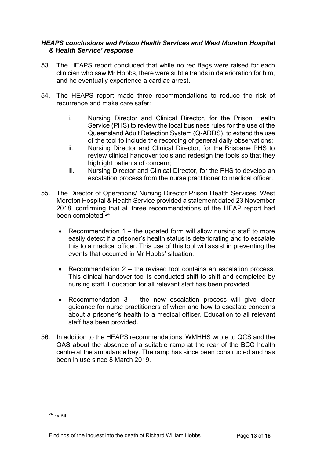#### *HEAPS conclusions and Prison Health Services and West Moreton Hospital & Health Service' response*

- 53. The HEAPS report concluded that while no red flags were raised for each clinician who saw Mr Hobbs, there were subtle trends in deterioration for him, and he eventually experience a cardiac arrest.
- 54. The HEAPS report made three recommendations to reduce the risk of recurrence and make care safer:
	- i. Nursing Director and Clinical Director, for the Prison Health Service (PHS) to review the local business rules for the use of the Queensland Adult Detection System (Q-ADDS), to extend the use of the tool to include the recording of general daily observations;
	- ii. Nursing Director and Clinical Director, for the Brisbane PHS to review clinical handover tools and redesign the tools so that they highlight patients of concern;
	- iii. Nursing Director and Clinical Director, for the PHS to develop an escalation process from the nurse practitioner to medical officer.
- 55. The Director of Operations/ Nursing Director Prison Health Services, West Moreton Hospital & Health Service provided a statement dated 23 November 2018, confirming that all three recommendations of the HEAP report had been completed.<sup>[24](#page-12-0)</sup>
	- Recommendation 1 the updated form will allow nursing staff to more easily detect if a prisoner's health status is deteriorating and to escalate this to a medical officer. This use of this tool will assist in preventing the events that occurred in Mr Hobbs' situation.
	- Recommendation 2 the revised tool contains an escalation process. This clinical handover tool is conducted shift to shift and completed by nursing staff. Education for all relevant staff has been provided.
	- Recommendation  $3 -$  the new escalation process will give clear guidance for nurse practitioners of when and how to escalate concerns about a prisoner's health to a medical officer. Education to all relevant staff has been provided.
- 56. In addition to the HEAPS recommendations, WMHHS wrote to QCS and the QAS about the absence of a suitable ramp at the rear of the BCC health centre at the ambulance bay. The ramp has since been constructed and has been in use since 8 March 2019.

<span id="page-12-0"></span><sup>24</sup> Ex B4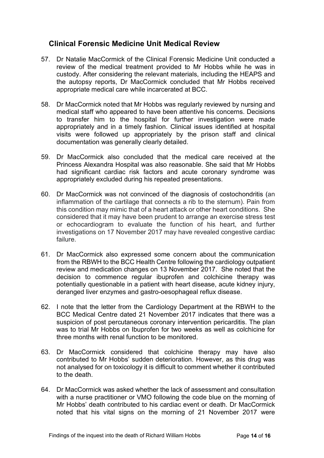## **Clinical Forensic Medicine Unit Medical Review**

- 57. Dr Natalie MacCormick of the Clinical Forensic Medicine Unit conducted a review of the medical treatment provided to Mr Hobbs while he was in custody. After considering the relevant materials, including the HEAPS and the autopsy reports, Dr MacCormick concluded that Mr Hobbs received appropriate medical care while incarcerated at BCC.
- 58. Dr MacCormick noted that Mr Hobbs was regularly reviewed by nursing and medical staff who appeared to have been attentive his concerns. Decisions to transfer him to the hospital for further investigation were made appropriately and in a timely fashion. Clinical issues identified at hospital visits were followed up appropriately by the prison staff and clinical documentation was generally clearly detailed.
- 59. Dr MacCormick also concluded that the medical care received at the Princess Alexandra Hospital was also reasonable. She said that Mr Hobbs had significant cardiac risk factors and acute coronary syndrome was appropriately excluded during his repeated presentations.
- 60. Dr MacCormick was not convinced of the diagnosis of costochondritis (an inflammation of the cartilage that connects a rib to the sternum). Pain from this condition may mimic that of a heart attack or other heart conditions. She considered that it may have been prudent to arrange an exercise stress test or echocardiogram to evaluate the function of his heart, and further investigations on 17 November 2017 may have revealed congestive cardiac failure.
- 61. Dr MacCormick also expressed some concern about the communication from the RBWH to the BCC Health Centre following the cardiology outpatient review and medication changes on 13 November 2017. She noted that the decision to commence regular ibuprofen and colchicine therapy was potentially questionable in a patient with heart disease, acute kidney injury, deranged liver enzymes and gastro-oesophageal reflux disease.
- 62. I note that the letter from the Cardiology Department at the RBWH to the BCC Medical Centre dated 21 November 2017 indicates that there was a suspicion of post percutaneous coronary intervention pericarditis. The plan was to trial Mr Hobbs on Ibuprofen for two weeks as well as colchicine for three months with renal function to be monitored.
- 63. Dr MacCormick considered that colchicine therapy may have also contributed to Mr Hobbs' sudden deterioration. However, as this drug was not analysed for on toxicology it is difficult to comment whether it contributed to the death.
- 64. Dr MacCormick was asked whether the lack of assessment and consultation with a nurse practitioner or VMO following the code blue on the morning of Mr Hobbs' death contributed to his cardiac event or death. Dr MacCormick noted that his vital signs on the morning of 21 November 2017 were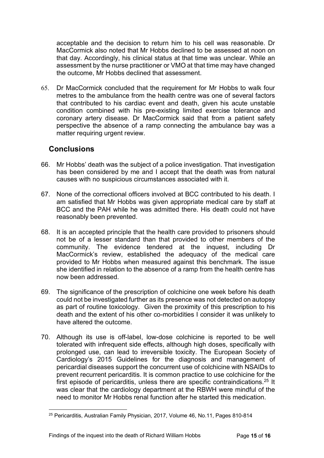acceptable and the decision to return him to his cell was reasonable. Dr MacCormick also noted that Mr Hobbs declined to be assessed at noon on that day. Accordingly, his clinical status at that time was unclear. While an assessment by the nurse practitioner or VMO at that time may have changed the outcome, Mr Hobbs declined that assessment.

65. Dr MacCormick concluded that the requirement for Mr Hobbs to walk four metres to the ambulance from the health centre was one of several factors that contributed to his cardiac event and death, given his acute unstable condition combined with his pre-existing limited exercise tolerance and coronary artery disease. Dr MacCormick said that from a patient safety perspective the absence of a ramp connecting the ambulance bay was a matter requiring urgent review.

## <span id="page-14-0"></span>**Conclusions**

- 66. Mr Hobbs' death was the subject of a police investigation. That investigation has been considered by me and I accept that the death was from natural causes with no suspicious circumstances associated with it.
- 67. None of the correctional officers involved at BCC contributed to his death. I am satisfied that Mr Hobbs was given appropriate medical care by staff at BCC and the PAH while he was admitted there. His death could not have reasonably been prevented.
- 68. It is an accepted principle that the health care provided to prisoners should not be of a lesser standard than that provided to other members of the community. The evidence tendered at the inquest, including Dr MacCormick's review, established the adequacy of the medical care provided to Mr Hobbs when measured against this benchmark. The issue she identified in relation to the absence of a ramp from the health centre has now been addressed.
- 69. The significance of the prescription of colchicine one week before his death could not be investigated further as its presence was not detected on autopsy as part of routine toxicology. Given the proximity of this prescription to his death and the extent of his other co-morbidities I consider it was unlikely to have altered the outcome.
- 70. Although its use is off-label, low-dose colchicine is reported to be well tolerated with infrequent side effects, although high doses, specifically with prolonged use, can lead to irreversible toxicity. The European Society of Cardiology's 2015 Guidelines for the diagnosis and management of pericardial diseases support the concurrent use of colchicine with NSAIDs to prevent recurrent pericarditis. It is common practice to use colchicine for the first episode of pericarditis, unless there are specific contraindications.<sup>[25](#page-14-1)</sup> It was clear that the cardiology department at the RBWH were mindful of the need to monitor Mr Hobbs renal function after he started this medication.

<span id="page-14-1"></span><sup>25</sup> Pericarditis, Australian Family Physician, 2017, Volume 46, No.11, Pages 810-814